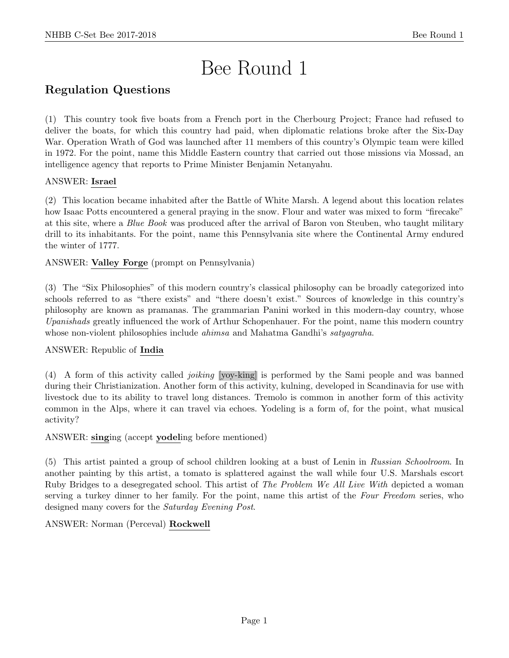# Bee Round 1

# Regulation Questions

(1) This country took five boats from a French port in the Cherbourg Project; France had refused to deliver the boats, for which this country had paid, when diplomatic relations broke after the Six-Day War. Operation Wrath of God was launched after 11 members of this country's Olympic team were killed in 1972. For the point, name this Middle Eastern country that carried out those missions via Mossad, an intelligence agency that reports to Prime Minister Benjamin Netanyahu.

# ANSWER: Israel

(2) This location became inhabited after the Battle of White Marsh. A legend about this location relates how Isaac Potts encountered a general praying in the snow. Flour and water was mixed to form "firecake" at this site, where a Blue Book was produced after the arrival of Baron von Steuben, who taught military drill to its inhabitants. For the point, name this Pennsylvania site where the Continental Army endured the winter of 1777.

# ANSWER: Valley Forge (prompt on Pennsylvania)

(3) The "Six Philosophies" of this modern country's classical philosophy can be broadly categorized into schools referred to as "there exists" and "there doesn't exist." Sources of knowledge in this country's philosophy are known as pramanas. The grammarian Panini worked in this modern-day country, whose Upanishads greatly influenced the work of Arthur Schopenhauer. For the point, name this modern country whose non-violent philosophies include *ahimsa* and Mahatma Gandhi's *satyagraha*.

# ANSWER: Republic of India

(4) A form of this activity called joiking [yoy-king] is performed by the Sami people and was banned during their Christianization. Another form of this activity, kulning, developed in Scandinavia for use with livestock due to its ability to travel long distances. Tremolo is common in another form of this activity common in the Alps, where it can travel via echoes. Yodeling is a form of, for the point, what musical activity?

# ANSWER: singing (accept yodeling before mentioned)

(5) This artist painted a group of school children looking at a bust of Lenin in Russian Schoolroom. In another painting by this artist, a tomato is splattered against the wall while four U.S. Marshals escort Ruby Bridges to a desegregated school. This artist of The Problem We All Live With depicted a woman serving a turkey dinner to her family. For the point, name this artist of the Four Freedom series, who designed many covers for the Saturday Evening Post.

# ANSWER: Norman (Perceval) Rockwell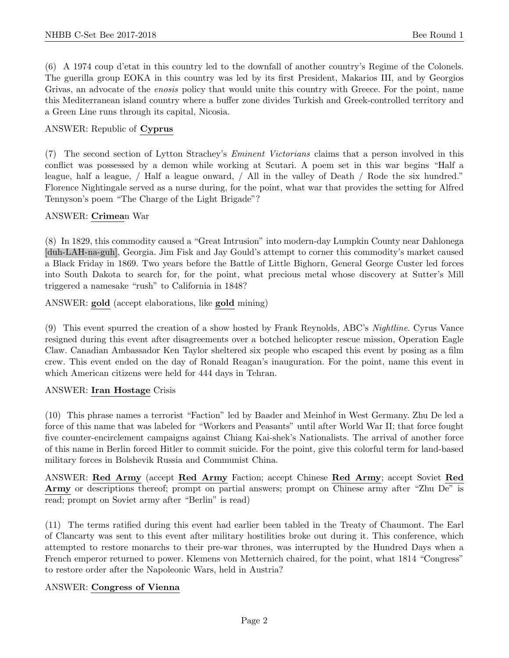(6) A 1974 coup d'etat in this country led to the downfall of another country's Regime of the Colonels. The guerilla group EOKA in this country was led by its first President, Makarios III, and by Georgios Grivas, an advocate of the enosis policy that would unite this country with Greece. For the point, name this Mediterranean island country where a buffer zone divides Turkish and Greek-controlled territory and a Green Line runs through its capital, Nicosia.

# ANSWER: Republic of Cyprus

(7) The second section of Lytton Strachey's Eminent Victorians claims that a person involved in this conflict was possessed by a demon while working at Scutari. A poem set in this war begins "Half a league, half a league, / Half a league onward, / All in the valley of Death / Rode the six hundred." Florence Nightingale served as a nurse during, for the point, what war that provides the setting for Alfred Tennyson's poem "The Charge of the Light Brigade"?

#### ANSWER: Crimean War

(8) In 1829, this commodity caused a "Great Intrusion" into modern-day Lumpkin County near Dahlonega [duh-LAH-na-guh], Georgia. Jim Fisk and Jay Gould's attempt to corner this commodity's market caused a Black Friday in 1869. Two years before the Battle of Little Bighorn, General George Custer led forces into South Dakota to search for, for the point, what precious metal whose discovery at Sutter's Mill triggered a namesake "rush" to California in 1848?

ANSWER: gold (accept elaborations, like gold mining)

(9) This event spurred the creation of a show hosted by Frank Reynolds, ABC's Nightline. Cyrus Vance resigned during this event after disagreements over a botched helicopter rescue mission, Operation Eagle Claw. Canadian Ambassador Ken Taylor sheltered six people who escaped this event by posing as a film crew. This event ended on the day of Ronald Reagan's inauguration. For the point, name this event in which American citizens were held for 444 days in Tehran.

#### ANSWER: Iran Hostage Crisis

(10) This phrase names a terrorist "Faction" led by Baader and Meinhof in West Germany. Zhu De led a force of this name that was labeled for "Workers and Peasants" until after World War II; that force fought five counter-encirclement campaigns against Chiang Kai-shek's Nationalists. The arrival of another force of this name in Berlin forced Hitler to commit suicide. For the point, give this colorful term for land-based military forces in Bolshevik Russia and Communist China.

ANSWER: Red Army (accept Red Army Faction; accept Chinese Red Army; accept Soviet Red Army or descriptions thereof; prompt on partial answers; prompt on Chinese army after "Zhu De" is read; prompt on Soviet army after "Berlin" is read)

(11) The terms ratified during this event had earlier been tabled in the Treaty of Chaumont. The Earl of Clancarty was sent to this event after military hostilities broke out during it. This conference, which attempted to restore monarchs to their pre-war thrones, was interrupted by the Hundred Days when a French emperor returned to power. Klemens von Metternich chaired, for the point, what 1814 "Congress" to restore order after the Napoleonic Wars, held in Austria?

# ANSWER: Congress of Vienna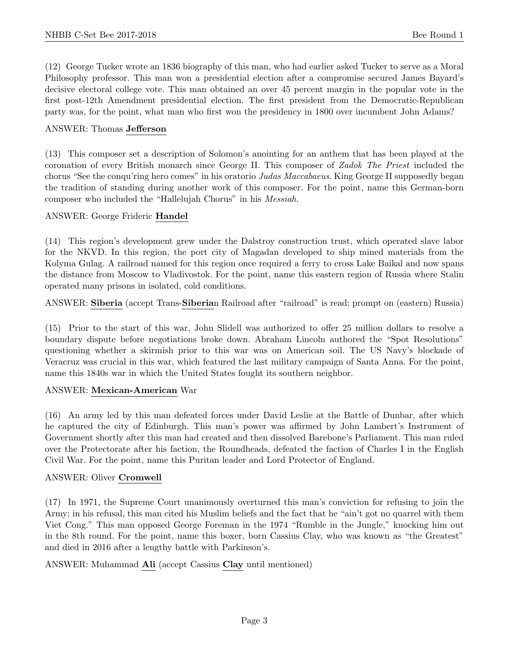(12) George Tucker wrote an 1836 biography of this man, who had earlier asked Tucker to serve as a Moral Philosophy professor. This man won a presidential election after a compromise secured James Bayard's decisive electoral college vote. This man obtained an over 45 percent margin in the popular vote in the first post-12th Amendment presidential election. The first president from the Democratic-Republican party was, for the point, what man who first won the presidency in 1800 over incumbent John Adams?

#### ANSWER: Thomas Jefferson

(13) This composer set a description of Solomon's anointing for an anthem that has been played at the coronation of every British monarch since George II. This composer of Zadok The Priest included the chorus "See the conqu'ring hero comes" in his oratorio Judas Maccabaeus. King George II supposedly began the tradition of standing during another work of this composer. For the point, name this German-born composer who included the "Hallelujah Chorus" in his Messiah.

#### ANSWER: George Frideric Handel

(14) This region's development grew under the Dalstroy construction trust, which operated slave labor for the NKVD. In this region, the port city of Magadan developed to ship mined materials from the Kolyma Gulag. A railroad named for this region once required a ferry to cross Lake Baikal and now spans the distance from Moscow to Vladivostok. For the point, name this eastern region of Russia where Stalin operated many prisons in isolated, cold conditions.

ANSWER: Siberia (accept Trans-Siberian Railroad after "railroad" is read; prompt on (eastern) Russia)

(15) Prior to the start of this war, John Slidell was authorized to offer 25 million dollars to resolve a boundary dispute before negotiations broke down. Abraham Lincoln authored the "Spot Resolutions" questioning whether a skirmish prior to this war was on American soil. The US Navy's blockade of Veracruz was crucial in this war, which featured the last military campaign of Santa Anna. For the point, name this 1840s war in which the United States fought its southern neighbor.

# ANSWER: Mexican-American War

(16) An army led by this man defeated forces under David Leslie at the Battle of Dunbar, after which he captured the city of Edinburgh. This man's power was affirmed by John Lambert's Instrument of Government shortly after this man had created and then dissolved Barebone's Parliament. This man ruled over the Protectorate after his faction, the Roundheads, defeated the faction of Charles I in the English Civil War. For the point, name this Puritan leader and Lord Protector of England.

# ANSWER: Oliver Cromwell

(17) In 1971, the Supreme Court unanimously overturned this man's conviction for refusing to join the Army; in his refusal, this man cited his Muslim beliefs and the fact that he "ain't got no quarrel with them Viet Cong." This man opposed George Foreman in the 1974 "Rumble in the Jungle," knocking him out in the 8th round. For the point, name this boxer, born Cassius Clay, who was known as "the Greatest" and died in 2016 after a lengthy battle with Parkinson's.

# ANSWER: Muhammad Ali (accept Cassius Clay until mentioned)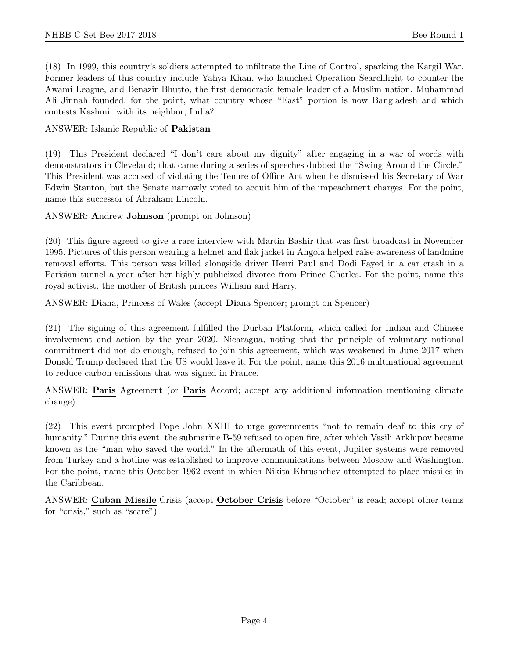(18) In 1999, this country's soldiers attempted to infiltrate the Line of Control, sparking the Kargil War. Former leaders of this country include Yahya Khan, who launched Operation Searchlight to counter the Awami League, and Benazir Bhutto, the first democratic female leader of a Muslim nation. Muhammad Ali Jinnah founded, for the point, what country whose "East" portion is now Bangladesh and which contests Kashmir with its neighbor, India?

### ANSWER: Islamic Republic of Pakistan

(19) This President declared "I don't care about my dignity" after engaging in a war of words with demonstrators in Cleveland; that came during a series of speeches dubbed the "Swing Around the Circle." This President was accused of violating the Tenure of Office Act when he dismissed his Secretary of War Edwin Stanton, but the Senate narrowly voted to acquit him of the impeachment charges. For the point, name this successor of Abraham Lincoln.

ANSWER: Andrew Johnson (prompt on Johnson)

(20) This figure agreed to give a rare interview with Martin Bashir that was first broadcast in November 1995. Pictures of this person wearing a helmet and flak jacket in Angola helped raise awareness of landmine removal efforts. This person was killed alongside driver Henri Paul and Dodi Fayed in a car crash in a Parisian tunnel a year after her highly publicized divorce from Prince Charles. For the point, name this royal activist, the mother of British princes William and Harry.

ANSWER: Diana, Princess of Wales (accept Diana Spencer; prompt on Spencer)

(21) The signing of this agreement fulfilled the Durban Platform, which called for Indian and Chinese involvement and action by the year 2020. Nicaragua, noting that the principle of voluntary national commitment did not do enough, refused to join this agreement, which was weakened in June 2017 when Donald Trump declared that the US would leave it. For the point, name this 2016 multinational agreement to reduce carbon emissions that was signed in France.

ANSWER: Paris Agreement (or Paris Accord; accept any additional information mentioning climate change)

(22) This event prompted Pope John XXIII to urge governments "not to remain deaf to this cry of humanity." During this event, the submarine B-59 refused to open fire, after which Vasili Arkhipov became known as the "man who saved the world." In the aftermath of this event, Jupiter systems were removed from Turkey and a hotline was established to improve communications between Moscow and Washington. For the point, name this October 1962 event in which Nikita Khrushchev attempted to place missiles in the Caribbean.

ANSWER: Cuban Missile Crisis (accept October Crisis before "October" is read; accept other terms for "crisis," such as "scare")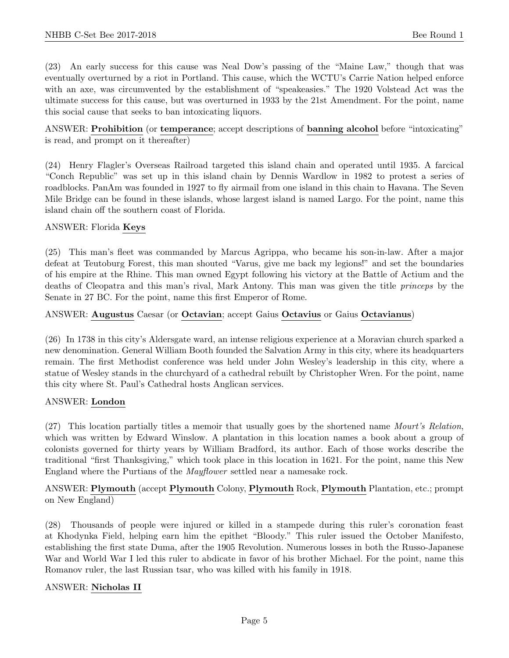(23) An early success for this cause was Neal Dow's passing of the "Maine Law," though that was eventually overturned by a riot in Portland. This cause, which the WCTU's Carrie Nation helped enforce with an axe, was circumvented by the establishment of "speakeasies." The 1920 Volstead Act was the ultimate success for this cause, but was overturned in 1933 by the 21st Amendment. For the point, name this social cause that seeks to ban intoxicating liquors.

ANSWER: Prohibition (or temperance; accept descriptions of banning alcohol before "intoxicating" is read, and prompt on it thereafter)

(24) Henry Flagler's Overseas Railroad targeted this island chain and operated until 1935. A farcical "Conch Republic" was set up in this island chain by Dennis Wardlow in 1982 to protest a series of roadblocks. PanAm was founded in 1927 to fly airmail from one island in this chain to Havana. The Seven Mile Bridge can be found in these islands, whose largest island is named Largo. For the point, name this island chain off the southern coast of Florida.

#### ANSWER: Florida Keys

(25) This man's fleet was commanded by Marcus Agrippa, who became his son-in-law. After a major defeat at Teutoburg Forest, this man shouted "Varus, give me back my legions!" and set the boundaries of his empire at the Rhine. This man owned Egypt following his victory at the Battle of Actium and the deaths of Cleopatra and this man's rival, Mark Antony. This man was given the title princeps by the Senate in 27 BC. For the point, name this first Emperor of Rome.

#### ANSWER: Augustus Caesar (or Octavian; accept Gaius Octavius or Gaius Octavianus)

(26) In 1738 in this city's Aldersgate ward, an intense religious experience at a Moravian church sparked a new denomination. General William Booth founded the Salvation Army in this city, where its headquarters remain. The first Methodist conference was held under John Wesley's leadership in this city, where a statue of Wesley stands in the churchyard of a cathedral rebuilt by Christopher Wren. For the point, name this city where St. Paul's Cathedral hosts Anglican services.

#### ANSWER: London

(27) This location partially titles a memoir that usually goes by the shortened name Mourt's Relation, which was written by Edward Winslow. A plantation in this location names a book about a group of colonists governed for thirty years by William Bradford, its author. Each of those works describe the traditional "first Thanksgiving," which took place in this location in 1621. For the point, name this New England where the Purtians of the Mayflower settled near a namesake rock.

ANSWER: Plymouth (accept Plymouth Colony, Plymouth Rock, Plymouth Plantation, etc.; prompt on New England)

(28) Thousands of people were injured or killed in a stampede during this ruler's coronation feast at Khodynka Field, helping earn him the epithet "Bloody." This ruler issued the October Manifesto, establishing the first state Duma, after the 1905 Revolution. Numerous losses in both the Russo-Japanese War and World War I led this ruler to abdicate in favor of his brother Michael. For the point, name this Romanov ruler, the last Russian tsar, who was killed with his family in 1918.

# ANSWER: Nicholas II